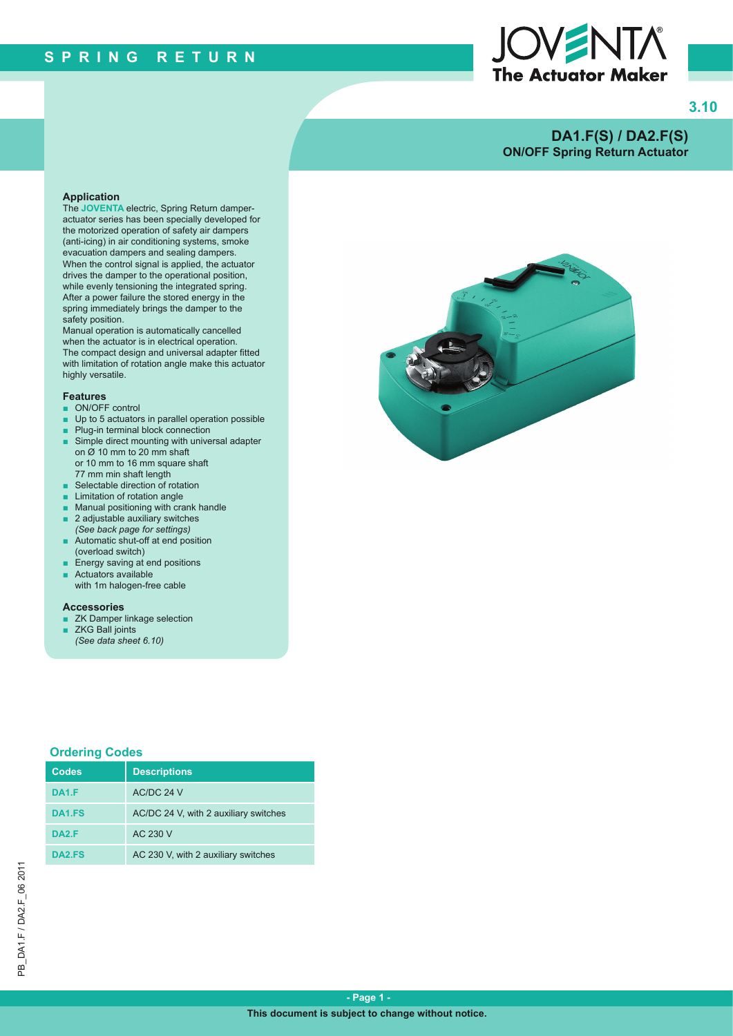

**3.10**

# **DA1.F(S) / DA2.F(S) ON/OFF Spring Return Actuator**

#### **Application**

The **JOVENTA** electric, Spring Return damperactuator series has been specially developed for the motorized operation of safety air dampers (anti-icing) in air conditioning systems, smoke evacuation dampers and sealing dampers. When the control signal is applied, the actuator drives the damper to the operational position, while evenly tensioning the integrated spring. After a power failure the stored energy in the spring immediately brings the damper to the safety position.

Manual operation is automatically cancelled when the actuator is in electrical operation. The compact design and universal adapter fitted with limitation of rotation angle make this actuator highly versatile.

#### **Features**

- ON/OFF control
- Up to 5 actuators in parallel operation possible
- Plug-in terminal block connection
- Simple direct mounting with universal adapter on  $\alpha$  10 mm to 20 mm shaft or 10 mm to 16 mm square shaft 77 mm min shaft length
- Selectable direction of rotation
- **Limitation of rotation angle**
- Manual positioning with crank handle
- 2 adjustable auxiliary switches *(See back page for settings)*
- Automatic shut-off at end position (overload switch)
- Energy saving at end positions Actuators available
- with 1m halogen-free cable

#### **Accessories**

- ZK Damper linkage selection
- ZKG Ball joints *(See data sheet 6.10)*

#### **Ordering Codes**

| <b>Codes</b>       | <b>Descriptions</b>                   |
|--------------------|---------------------------------------|
| <b>DA1.F</b>       | AC/DC 24 V                            |
| DA <sub>1.FS</sub> | AC/DC 24 V, with 2 auxiliary switches |
| <b>DA2.F</b>       | AC 230 V                              |
| DA <sub>2.FS</sub> | AC 230 V, with 2 auxiliary switches   |

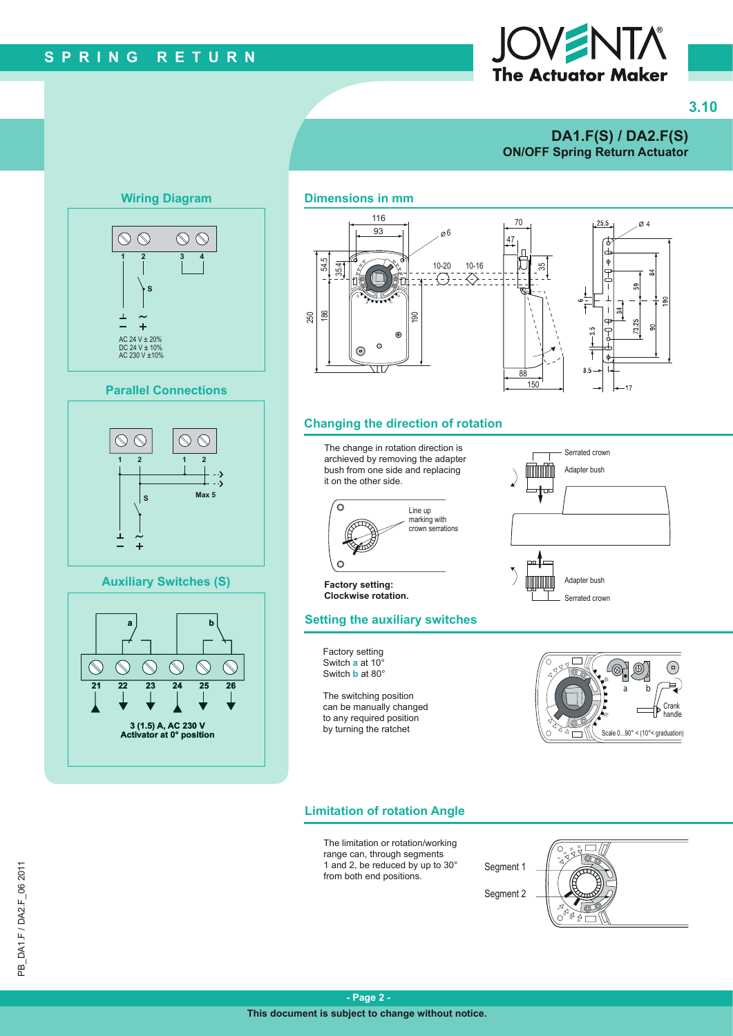# **SPRING RETURN**

# The Actuator Maker

# **3.10**

# **DA1.F(S) / DA2.F(S) ON/OFF Spring Return Actuator**



## **Wiring Diagram Dimensions in mm**



#### **Changing the direction of rotation**



## **Limitation of rotation Angle**

The limitation or rotation/working range can, through segments 1 and 2, be reduced by up to 30° from both end positions.